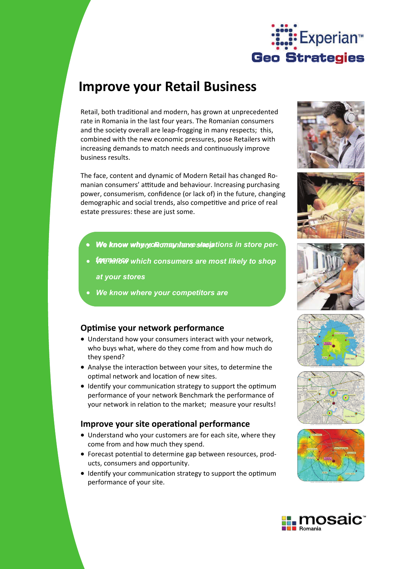

# **Improve your Retail Business**

Retail, both traditional and modern, has grown at unprecedented rate in Romania in the last four years. The Romanian consumers and the society overall are leap-frogging in many respects; this, combined with the new economic pressures, pose Retailers with increasing demands to match needs and continuously improve business results.

The face, content and dynamic of Modern Retail has changed Ro‐ manian consumers' attitude and behaviour. Increasing purchasing power, consumerism, confidence (or lack of) in the future, changing demographic and social trends, also competitive and price of real estate pressures: these are just some.

- **We know why read omay have shop and in store per-**
- *We know which consumers are most likely to shop at your stores*
- *We know where your competitors are*

## **OpƟmise your network performance**

- Understand how your consumers interact with your network, who buys what, where do they come from and how much do they spend?
- Analyse the interaction between your sites, to determine the optimal network and location of new sites.
- Identify your communication strategy to support the optimum performance of your network Benchmark the performance of your network in relation to the market; measure your results!

### **lmprove** your site operational performance

- Understand who your customers are for each site, where they come from and how much they spend.
- Forecast potential to determine gap between resources, products, consumers and opportunity.
- Identify your communication strategy to support the optimum performance of your site.